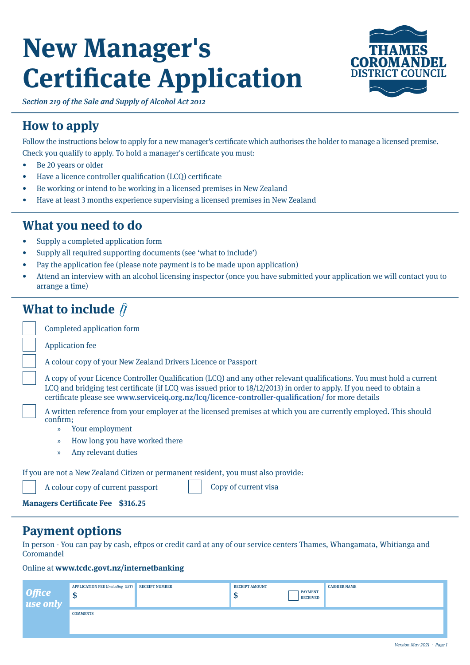# **New Manager's Certificate Application**



Section 219 of the Sale and Supply of Alcohol Act 2012

### **How to apply**

Follow the instructions below to apply for a new manager's certificate which authorises the holder to manage a licensed premise. Check you qualify to apply. To hold a manager's certificate you must:

- Be 20 years or older
- Have a licence controller qualification (LCQ) certificate
- Be working or intend to be working in a licensed premises in New Zealand
- Have at least 3 months experience supervising a licensed premises in New Zealand

### **What you need to do**

- Supply a completed application form
- Supply all required supporting documents (see 'what to include')
- Pay the application fee (please note payment is to be made upon application)
- Attend an interview with an alcohol licensing inspector (once you have submitted your application we will contact you to arrange a time)

### **What to include**  $\hat{\theta}$

| $\cdots$ have to mittige $\cdots$ |                                                                                                                                                                                                                                                                                                                                                    |  |  |  |  |  |  |
|-----------------------------------|----------------------------------------------------------------------------------------------------------------------------------------------------------------------------------------------------------------------------------------------------------------------------------------------------------------------------------------------------|--|--|--|--|--|--|
|                                   | Completed application form                                                                                                                                                                                                                                                                                                                         |  |  |  |  |  |  |
|                                   | <b>Application fee</b>                                                                                                                                                                                                                                                                                                                             |  |  |  |  |  |  |
|                                   | A colour copy of your New Zealand Drivers Licence or Passport                                                                                                                                                                                                                                                                                      |  |  |  |  |  |  |
|                                   | A copy of your Licence Controller Qualification (LCQ) and any other relevant qualifications. You must hold a current<br>LCQ and bridging test certificate (if LCQ was issued prior to 18/12/2013) in order to apply. If you need to obtain a<br>certificate please see www.serviceig.org.nz/lcg/licence-controller-qualification/ for more details |  |  |  |  |  |  |
|                                   | A written reference from your employer at the licensed premises at which you are currently employed. This should<br>confirm;                                                                                                                                                                                                                       |  |  |  |  |  |  |
|                                   | Your employment<br>X)                                                                                                                                                                                                                                                                                                                              |  |  |  |  |  |  |
|                                   | How long you have worked there<br>$\mathcal{V}$                                                                                                                                                                                                                                                                                                    |  |  |  |  |  |  |
|                                   | Any relevant duties<br>$\mathcal{V}$                                                                                                                                                                                                                                                                                                               |  |  |  |  |  |  |
|                                   | If you are not a New Zealand Citizen or permanent resident, you must also provide:                                                                                                                                                                                                                                                                 |  |  |  |  |  |  |
|                                   | Copy of current visa<br>A colour copy of current passport                                                                                                                                                                                                                                                                                          |  |  |  |  |  |  |

**Managers Certificate Fee \$316.25**

### **Payment options**

In person - You can pay by cash, eftpos or credit card at any of our service centers Thames, Whangamata, Whitianga and **Coromandel** 

Online at **www.tcdc.govt.nz/internetbanking** 

| <b>Office</b><br>use only | <b>APPLICATION FEE (Including GST)</b><br>٨U | <b>RECEIPT NUMBER</b> | <b>RECEIPT AMOUNT</b><br><b>PAYMENT</b><br><b>RECEIVED</b><br>ND. | <b>CASHIER NAME</b> |
|---------------------------|----------------------------------------------|-----------------------|-------------------------------------------------------------------|---------------------|
|                           | <b>COMMENTS</b>                              |                       |                                                                   |                     |
|                           |                                              |                       |                                                                   |                     |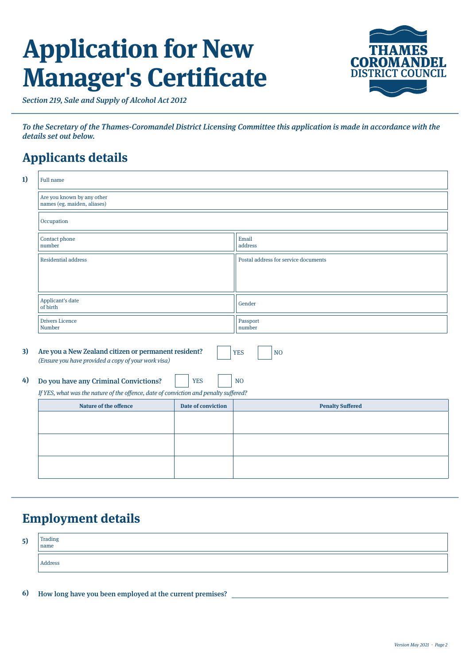## **Application for New Manager's Certificate**



Section 219, Sale and Supply of Alcohol Act 2012

To the Secretary of the Thames-Coromandel District Licensing Committee this application is made in accordance with the details set out below.

### **Applicants details**

| 1) | <b>Full name</b>                                                                                                                            |            |                                      |  |  |
|----|---------------------------------------------------------------------------------------------------------------------------------------------|------------|--------------------------------------|--|--|
|    | Are you known by any other<br>names (eg. maiden, aliases)                                                                                   |            |                                      |  |  |
|    | Occupation                                                                                                                                  |            |                                      |  |  |
|    | Contact phone<br>number                                                                                                                     |            | Email<br>address                     |  |  |
|    | <b>Residential address</b>                                                                                                                  |            | Postal address for service documents |  |  |
|    |                                                                                                                                             |            |                                      |  |  |
|    | Applicant's date<br>of birth                                                                                                                |            | Gender                               |  |  |
|    | <b>Drivers Licence</b><br><b>Number</b>                                                                                                     |            | Passport<br>number                   |  |  |
| 3) | Are you a New Zealand citizen or permanent resident?<br><b>YES</b><br>N <sub>O</sub><br>(Ensure you have provided a copy of your work visa) |            |                                      |  |  |
| 4) | Do you have any Criminal Convictions?                                                                                                       | <b>YES</b> | N <sub>O</sub>                       |  |  |
|    | If YES, what was the nature of the offence, date of conviction and penalty suffered?                                                        |            |                                      |  |  |
|    | Nature of the offence<br><b>Date of conviction</b>                                                                                          |            | <b>Penalty Suffered</b>              |  |  |
|    |                                                                                                                                             |            |                                      |  |  |
|    |                                                                                                                                             |            |                                      |  |  |
|    |                                                                                                                                             |            |                                      |  |  |

### **Employment details**

| 5) | Trading<br>  name |
|----|-------------------|
|    | Address           |

**6)** How long have you been employed at the current premises?